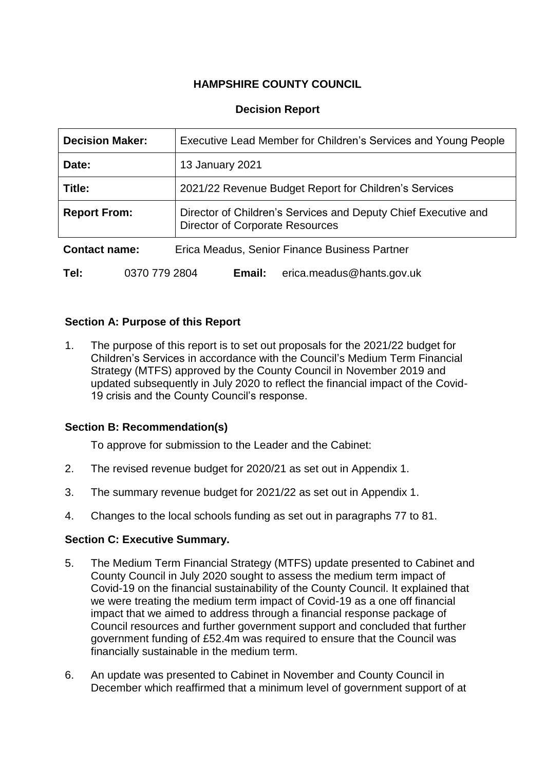# **HAMPSHIRE COUNTY COUNCIL**

# **Decision Report**

| <b>Decision Maker:</b>                                                |               | Executive Lead Member for Children's Services and Young People                                           |  |  |
|-----------------------------------------------------------------------|---------------|----------------------------------------------------------------------------------------------------------|--|--|
| Date:                                                                 |               | 13 January 2021                                                                                          |  |  |
| Title:                                                                |               | 2021/22 Revenue Budget Report for Children's Services                                                    |  |  |
| <b>Report From:</b>                                                   |               | Director of Children's Services and Deputy Chief Executive and<br><b>Director of Corporate Resources</b> |  |  |
| <b>Contact name:</b><br>Erica Meadus, Senior Finance Business Partner |               |                                                                                                          |  |  |
| Tel:                                                                  | 0370 779 2804 | erica.meadus@hants.gov.uk<br>Email:                                                                      |  |  |

# **Section A: Purpose of this Report**

1. The purpose of this report is to set out proposals for the 2021/22 budget for Children's Services in accordance with the Council's Medium Term Financial Strategy (MTFS) approved by the County Council in November 2019 and updated subsequently in July 2020 to reflect the financial impact of the Covid-19 crisis and the County Council's response.

## **Section B: Recommendation(s)**

To approve for submission to the Leader and the Cabinet:

- 2. The revised revenue budget for 2020/21 as set out in Appendix 1.
- 3. The summary revenue budget for 2021/22 as set out in Appendix 1.
- 4. Changes to the local schools funding as set out in paragraphs 77 to 81.

## **Section C: Executive Summary.**

- 5. The Medium Term Financial Strategy (MTFS) update presented to Cabinet and County Council in July 2020 sought to assess the medium term impact of Covid-19 on the financial sustainability of the County Council. It explained that we were treating the medium term impact of Covid-19 as a one off financial impact that we aimed to address through a financial response package of Council resources and further government support and concluded that further government funding of £52.4m was required to ensure that the Council was financially sustainable in the medium term.
- 6. An update was presented to Cabinet in November and County Council in December which reaffirmed that a minimum level of government support of at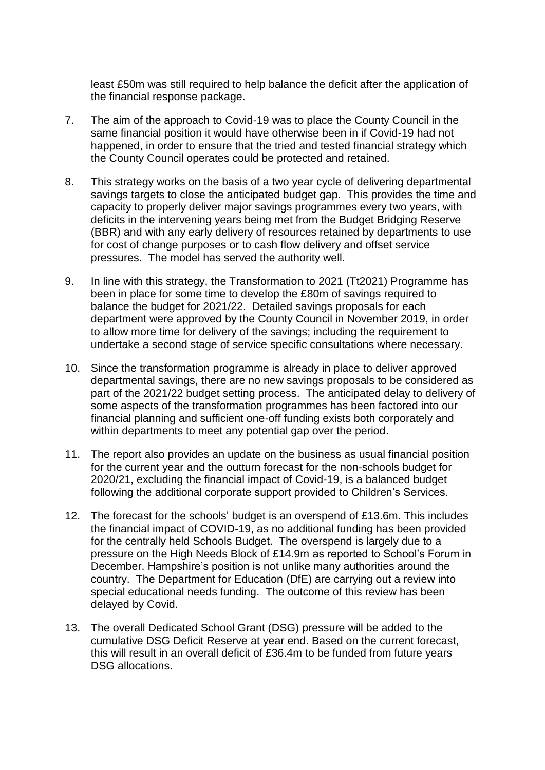least £50m was still required to help balance the deficit after the application of the financial response package.

- 7. The aim of the approach to Covid-19 was to place the County Council in the same financial position it would have otherwise been in if Covid-19 had not happened, in order to ensure that the tried and tested financial strategy which the County Council operates could be protected and retained.
- 8. This strategy works on the basis of a two year cycle of delivering departmental savings targets to close the anticipated budget gap. This provides the time and capacity to properly deliver major savings programmes every two years, with deficits in the intervening years being met from the Budget Bridging Reserve (BBR) and with any early delivery of resources retained by departments to use for cost of change purposes or to cash flow delivery and offset service pressures. The model has served the authority well.
- 9. In line with this strategy, the Transformation to 2021 (Tt2021) Programme has been in place for some time to develop the £80m of savings required to balance the budget for 2021/22. Detailed savings proposals for each department were approved by the County Council in November 2019, in order to allow more time for delivery of the savings; including the requirement to undertake a second stage of service specific consultations where necessary.
- 10. Since the transformation programme is already in place to deliver approved departmental savings, there are no new savings proposals to be considered as part of the 2021/22 budget setting process. The anticipated delay to delivery of some aspects of the transformation programmes has been factored into our financial planning and sufficient one-off funding exists both corporately and within departments to meet any potential gap over the period.
- 11. The report also provides an update on the business as usual financial position for the current year and the outturn forecast for the non-schools budget for 2020/21, excluding the financial impact of Covid-19, is a balanced budget following the additional corporate support provided to Children's Services.
- 12. The forecast for the schools' budget is an overspend of £13.6m. This includes the financial impact of COVID-19, as no additional funding has been provided for the centrally held Schools Budget. The overspend is largely due to a pressure on the High Needs Block of £14.9m as reported to School's Forum in December. Hampshire's position is not unlike many authorities around the country. The Department for Education (DfE) are carrying out a review into special educational needs funding. The outcome of this review has been delayed by Covid.
- 13. The overall Dedicated School Grant (DSG) pressure will be added to the cumulative DSG Deficit Reserve at year end. Based on the current forecast, this will result in an overall deficit of £36.4m to be funded from future years DSG allocations.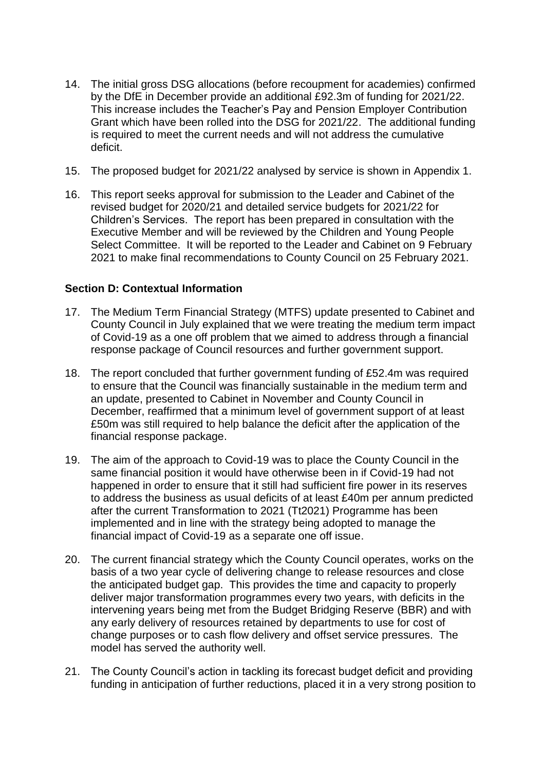- 14. The initial gross DSG allocations (before recoupment for academies) confirmed by the DfE in December provide an additional £92.3m of funding for 2021/22. This increase includes the Teacher's Pay and Pension Employer Contribution Grant which have been rolled into the DSG for 2021/22. The additional funding is required to meet the current needs and will not address the cumulative deficit.
- 15. The proposed budget for 2021/22 analysed by service is shown in Appendix 1.
- 16. This report seeks approval for submission to the Leader and Cabinet of the revised budget for 2020/21 and detailed service budgets for 2021/22 for Children's Services. The report has been prepared in consultation with the Executive Member and will be reviewed by the Children and Young People Select Committee. It will be reported to the Leader and Cabinet on 9 February 2021 to make final recommendations to County Council on 25 February 2021.

## **Section D: Contextual Information**

- 17. The Medium Term Financial Strategy (MTFS) update presented to Cabinet and County Council in July explained that we were treating the medium term impact of Covid-19 as a one off problem that we aimed to address through a financial response package of Council resources and further government support.
- 18. The report concluded that further government funding of £52.4m was required to ensure that the Council was financially sustainable in the medium term and an update, presented to Cabinet in November and County Council in December, reaffirmed that a minimum level of government support of at least £50m was still required to help balance the deficit after the application of the financial response package.
- 19. The aim of the approach to Covid-19 was to place the County Council in the same financial position it would have otherwise been in if Covid-19 had not happened in order to ensure that it still had sufficient fire power in its reserves to address the business as usual deficits of at least £40m per annum predicted after the current Transformation to 2021 (Tt2021) Programme has been implemented and in line with the strategy being adopted to manage the financial impact of Covid-19 as a separate one off issue.
- 20. The current financial strategy which the County Council operates, works on the basis of a two year cycle of delivering change to release resources and close the anticipated budget gap. This provides the time and capacity to properly deliver major transformation programmes every two years, with deficits in the intervening years being met from the Budget Bridging Reserve (BBR) and with any early delivery of resources retained by departments to use for cost of change purposes or to cash flow delivery and offset service pressures. The model has served the authority well.
- 21. The County Council's action in tackling its forecast budget deficit and providing funding in anticipation of further reductions, placed it in a very strong position to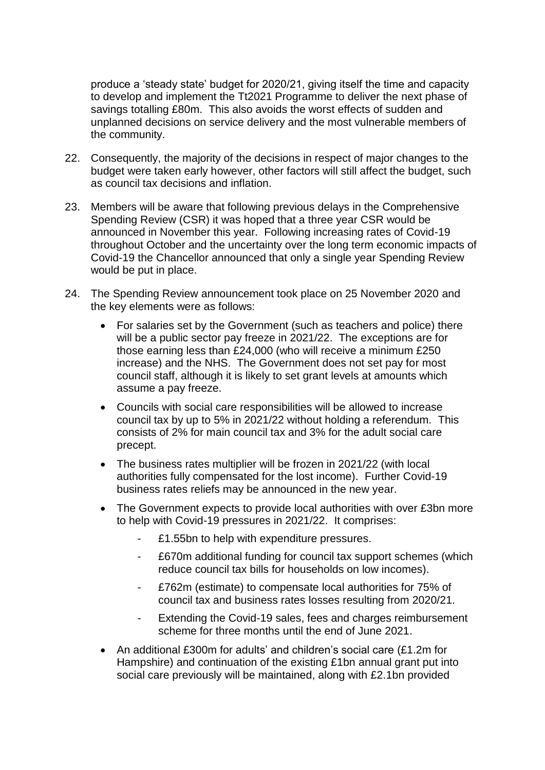produce a 'steady state' budget for 2020/21, giving itself the time and capacity to develop and implement the Tt2021 Programme to deliver the next phase of savings totalling £80m. This also avoids the worst effects of sudden and unplanned decisions on service delivery and the most vulnerable members of the community.

- 22. Consequently, the majority of the decisions in respect of major changes to the budget were taken early however, other factors will still affect the budget, such as council tax decisions and inflation.
- 23. Members will be aware that following previous delays in the Comprehensive Spending Review (CSR) it was hoped that a three year CSR would be announced in November this year. Following increasing rates of Covid-19 throughout October and the uncertainty over the long term economic impacts of Covid-19 the Chancellor announced that only a single year Spending Review would be put in place.
- 24. The Spending Review announcement took place on 25 November 2020 and the key elements were as follows:
	- For salaries set by the Government (such as teachers and police) there will be a public sector pay freeze in 2021/22. The exceptions are for those earning less than £24,000 (who will receive a minimum £250 increase) and the NHS. The Government does not set pay for most council staff, although it is likely to set grant levels at amounts which assume a pay freeze.
	- Councils with social care responsibilities will be allowed to increase council tax by up to 5% in 2021/22 without holding a referendum. This consists of 2% for main council tax and 3% for the adult social care precept.
	- The business rates multiplier will be frozen in 2021/22 (with local authorities fully compensated for the lost income). Further Covid-19 business rates reliefs may be announced in the new year.
	- The Government expects to provide local authorities with over £3bn more to help with Covid-19 pressures in 2021/22. It comprises:
		- £1.55bn to help with expenditure pressures.
		- £670m additional funding for council tax support schemes (which reduce council tax bills for households on low incomes).
		- £762m (estimate) to compensate local authorities for 75% of council tax and business rates losses resulting from 2020/21.
		- Extending the Covid-19 sales, fees and charges reimbursement scheme for three months until the end of June 2021.
	- An additional £300m for adults' and children's social care (£1.2m for Hampshire) and continuation of the existing £1bn annual grant put into social care previously will be maintained, along with £2.1bn provided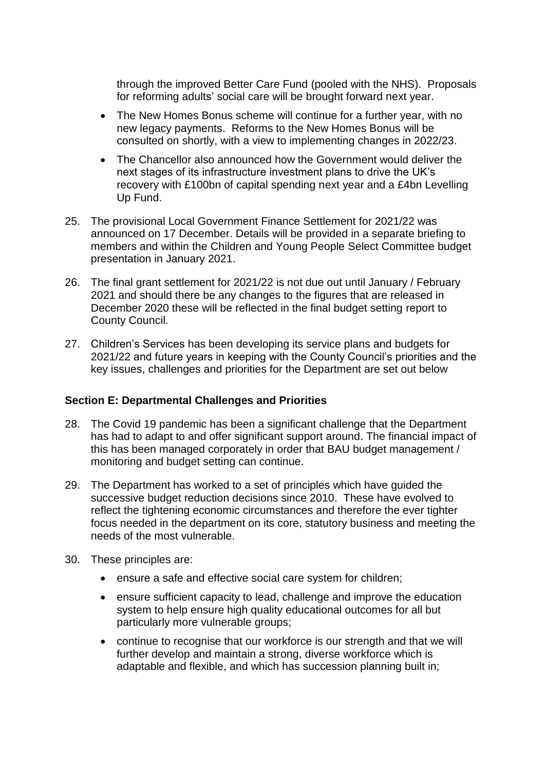through the improved Better Care Fund (pooled with the NHS). Proposals for reforming adults' social care will be brought forward next year.

- The New Homes Bonus scheme will continue for a further year, with no new legacy payments. Reforms to the New Homes Bonus will be consulted on shortly, with a view to implementing changes in 2022/23.
- The Chancellor also announced how the Government would deliver the next stages of its infrastructure investment plans to drive the UK's recovery with £100bn of capital spending next year and a £4bn Levelling Up Fund.
- 25. The provisional Local Government Finance Settlement for 2021/22 was announced on 17 December. Details will be provided in a separate briefing to members and within the Children and Young People Select Committee budget presentation in January 2021.
- 26. The final grant settlement for 2021/22 is not due out until January / February 2021 and should there be any changes to the figures that are released in December 2020 these will be reflected in the final budget setting report to County Council.
- 27. Children's Services has been developing its service plans and budgets for 2021/22 and future years in keeping with the County Council's priorities and the key issues, challenges and priorities for the Department are set out below

## **Section E: Departmental Challenges and Priorities**

- 28. The Covid 19 pandemic has been a significant challenge that the Department has had to adapt to and offer significant support around. The financial impact of this has been managed corporately in order that BAU budget management / monitoring and budget setting can continue.
- 29. The Department has worked to a set of principles which have guided the successive budget reduction decisions since 2010. These have evolved to reflect the tightening economic circumstances and therefore the ever tighter focus needed in the department on its core, statutory business and meeting the needs of the most vulnerable.
- 30. These principles are:
	- ensure a safe and effective social care system for children;
	- ensure sufficient capacity to lead, challenge and improve the education system to help ensure high quality educational outcomes for all but particularly more vulnerable groups;
	- continue to recognise that our workforce is our strength and that we will further develop and maintain a strong, diverse workforce which is adaptable and flexible, and which has succession planning built in;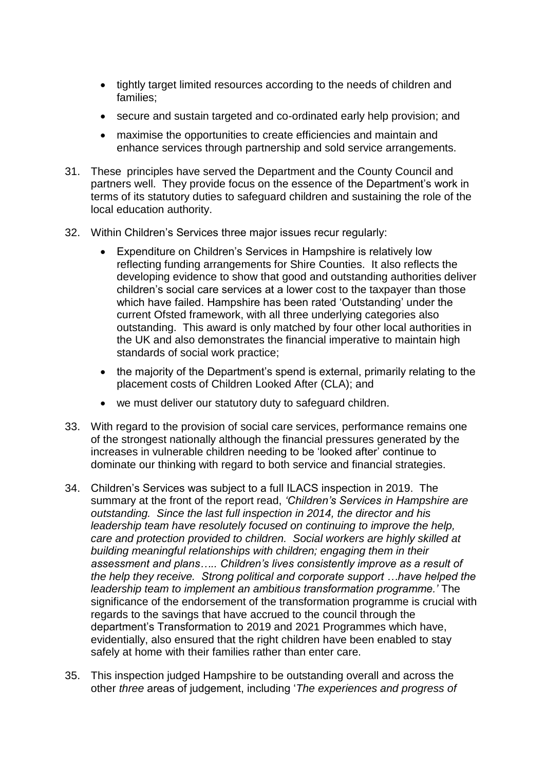- tightly target limited resources according to the needs of children and families;
- secure and sustain targeted and co-ordinated early help provision; and
- maximise the opportunities to create efficiencies and maintain and enhance services through partnership and sold service arrangements.
- 31. These principles have served the Department and the County Council and partners well. They provide focus on the essence of the Department's work in terms of its statutory duties to safeguard children and sustaining the role of the local education authority.
- 32. Within Children's Services three major issues recur regularly:
	- Expenditure on Children's Services in Hampshire is relatively low reflecting funding arrangements for Shire Counties. It also reflects the developing evidence to show that good and outstanding authorities deliver children's social care services at a lower cost to the taxpayer than those which have failed. Hampshire has been rated 'Outstanding' under the current Ofsted framework, with all three underlying categories also outstanding. This award is only matched by four other local authorities in the UK and also demonstrates the financial imperative to maintain high standards of social work practice;
	- the majority of the Department's spend is external, primarily relating to the placement costs of Children Looked After (CLA); and
	- we must deliver our statutory duty to safeguard children.
- 33. With regard to the provision of social care services, performance remains one of the strongest nationally although the financial pressures generated by the increases in vulnerable children needing to be 'looked after' continue to dominate our thinking with regard to both service and financial strategies.
- 34. Children's Services was subject to a full ILACS inspection in 2019. The summary at the front of the report read, *'Children's Services in Hampshire are outstanding. Since the last full inspection in 2014, the director and his leadership team have resolutely focused on continuing to improve the help, care and protection provided to children. Social workers are highly skilled at building meaningful relationships with children; engaging them in their assessment and plans….. Children's lives consistently improve as a result of the help they receive. Strong political and corporate support …have helped the leadership team to implement an ambitious transformation programme.'* The significance of the endorsement of the transformation programme is crucial with regards to the savings that have accrued to the council through the department's Transformation to 2019 and 2021 Programmes which have, evidentially, also ensured that the right children have been enabled to stay safely at home with their families rather than enter care.
- 35. This inspection judged Hampshire to be outstanding overall and across the other *three* areas of judgement, including '*The experiences and progress of*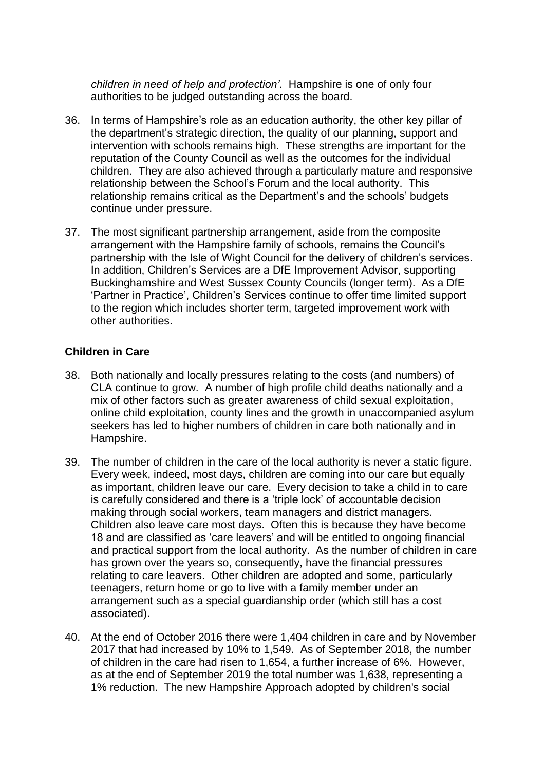*children in need of help and protection'*. Hampshire is one of only four authorities to be judged outstanding across the board.

- 36. In terms of Hampshire's role as an education authority, the other key pillar of the department's strategic direction, the quality of our planning, support and intervention with schools remains high. These strengths are important for the reputation of the County Council as well as the outcomes for the individual children. They are also achieved through a particularly mature and responsive relationship between the School's Forum and the local authority. This relationship remains critical as the Department's and the schools' budgets continue under pressure.
- 37. The most significant partnership arrangement, aside from the composite arrangement with the Hampshire family of schools, remains the Council's partnership with the Isle of Wight Council for the delivery of children's services. In addition, Children's Services are a DfE Improvement Advisor, supporting Buckinghamshire and West Sussex County Councils (longer term). As a DfE 'Partner in Practice', Children's Services continue to offer time limited support to the region which includes shorter term, targeted improvement work with other authorities.

# **Children in Care**

- 38. Both nationally and locally pressures relating to the costs (and numbers) of CLA continue to grow. A number of high profile child deaths nationally and a mix of other factors such as greater awareness of child sexual exploitation, online child exploitation, county lines and the growth in unaccompanied asylum seekers has led to higher numbers of children in care both nationally and in Hampshire.
- 39. The number of children in the care of the local authority is never a static figure. Every week, indeed, most days, children are coming into our care but equally as important, children leave our care. Every decision to take a child in to care is carefully considered and there is a 'triple lock' of accountable decision making through social workers, team managers and district managers. Children also leave care most days. Often this is because they have become 18 and are classified as 'care leavers' and will be entitled to ongoing financial and practical support from the local authority. As the number of children in care has grown over the years so, consequently, have the financial pressures relating to care leavers. Other children are adopted and some, particularly teenagers, return home or go to live with a family member under an arrangement such as a special guardianship order (which still has a cost associated).
- 40. At the end of October 2016 there were 1,404 children in care and by November 2017 that had increased by 10% to 1,549. As of September 2018, the number of children in the care had risen to 1,654, a further increase of 6%. However, as at the end of September 2019 the total number was 1,638, representing a 1% reduction. The new Hampshire Approach adopted by children's social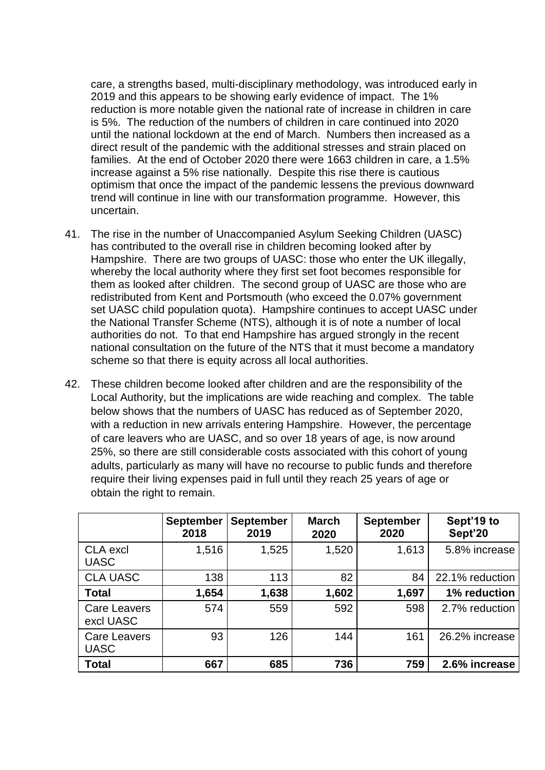care, a strengths based, multi-disciplinary methodology, was introduced early in 2019 and this appears to be showing early evidence of impact. The 1% reduction is more notable given the national rate of increase in children in care is 5%. The reduction of the numbers of children in care continued into 2020 until the national lockdown at the end of March. Numbers then increased as a direct result of the pandemic with the additional stresses and strain placed on families. At the end of October 2020 there were 1663 children in care, a 1.5% increase against a 5% rise nationally. Despite this rise there is cautious optimism that once the impact of the pandemic lessens the previous downward trend will continue in line with our transformation programme. However, this uncertain.

- 41. The rise in the number of Unaccompanied Asylum Seeking Children (UASC) has contributed to the overall rise in children becoming looked after by Hampshire. There are two groups of UASC: those who enter the UK illegally, whereby the local authority where they first set foot becomes responsible for them as looked after children. The second group of UASC are those who are redistributed from Kent and Portsmouth (who exceed the 0.07% government set UASC child population quota). Hampshire continues to accept UASC under the National Transfer Scheme (NTS), although it is of note a number of local authorities do not. To that end Hampshire has argued strongly in the recent national consultation on the future of the NTS that it must become a mandatory scheme so that there is equity across all local authorities.
- 42. These children become looked after children and are the responsibility of the Local Authority, but the implications are wide reaching and complex. The table below shows that the numbers of UASC has reduced as of September 2020, with a reduction in new arrivals entering Hampshire. However, the percentage of care leavers who are UASC, and so over 18 years of age, is now around 25%, so there are still considerable costs associated with this cohort of young adults, particularly as many will have no recourse to public funds and therefore require their living expenses paid in full until they reach 25 years of age or obtain the right to remain.

|                                    | <b>September</b><br>2018 | <b>September</b><br>2019 | <b>March</b><br>2020 | <b>September</b><br>2020 | Sept'19 to<br>Sept'20 |
|------------------------------------|--------------------------|--------------------------|----------------------|--------------------------|-----------------------|
| CLA excl<br><b>UASC</b>            | 1,516                    | 1,525                    | 1,520                | 1,613                    | 5.8% increase         |
| <b>CLA UASC</b>                    | 138                      | 113                      | 82                   | 84                       | 22.1% reduction       |
| <b>Total</b>                       | 1,654                    | 1,638                    | 1,602                | 1,697                    | 1% reduction          |
| Care Leavers<br>excl UASC          | 574                      | 559                      | 592                  | 598                      | 2.7% reduction        |
| <b>Care Leavers</b><br><b>UASC</b> | 93                       | 126                      | 144                  | 161                      | 26.2% increase        |
| <b>Total</b>                       | 667                      | 685                      | 736                  | 759                      | 2.6% increase         |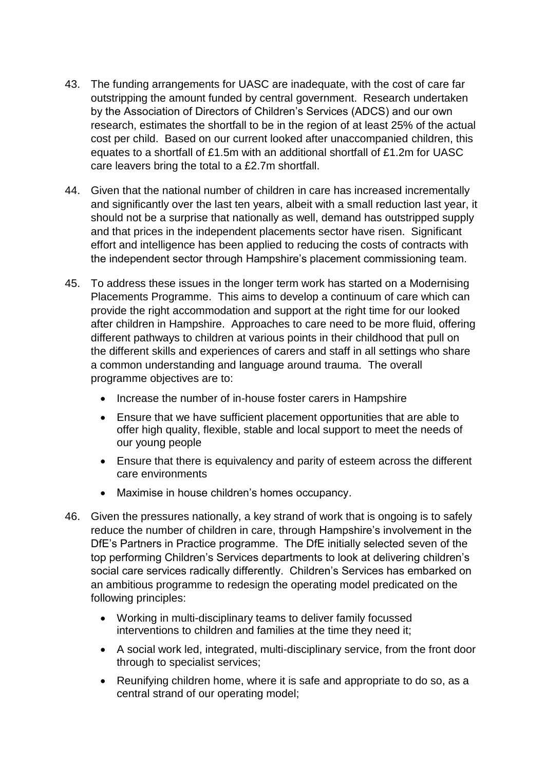- 43. The funding arrangements for UASC are inadequate, with the cost of care far outstripping the amount funded by central government. Research undertaken by the Association of Directors of Children's Services (ADCS) and our own research, estimates the shortfall to be in the region of at least 25% of the actual cost per child. Based on our current looked after unaccompanied children, this equates to a shortfall of £1.5m with an additional shortfall of £1.2m for UASC care leavers bring the total to a £2.7m shortfall.
- 44. Given that the national number of children in care has increased incrementally and significantly over the last ten years, albeit with a small reduction last year, it should not be a surprise that nationally as well, demand has outstripped supply and that prices in the independent placements sector have risen. Significant effort and intelligence has been applied to reducing the costs of contracts with the independent sector through Hampshire's placement commissioning team.
- 45. To address these issues in the longer term work has started on a Modernising Placements Programme. This aims to develop a continuum of care which can provide the right accommodation and support at the right time for our looked after children in Hampshire. Approaches to care need to be more fluid, offering different pathways to children at various points in their childhood that pull on the different skills and experiences of carers and staff in all settings who share a common understanding and language around trauma. The overall programme objectives are to:
	- Increase the number of in-house foster carers in Hampshire
	- Ensure that we have sufficient placement opportunities that are able to offer high quality, flexible, stable and local support to meet the needs of our young people
	- Ensure that there is equivalency and parity of esteem across the different care environments
	- Maximise in house children's homes occupancy.
- 46. Given the pressures nationally, a key strand of work that is ongoing is to safely reduce the number of children in care, through Hampshire's involvement in the DfE's Partners in Practice programme. The DfE initially selected seven of the top performing Children's Services departments to look at delivering children's social care services radically differently. Children's Services has embarked on an ambitious programme to redesign the operating model predicated on the following principles:
	- Working in multi-disciplinary teams to deliver family focussed interventions to children and families at the time they need it;
	- A social work led, integrated, multi-disciplinary service, from the front door through to specialist services;
	- Reunifying children home, where it is safe and appropriate to do so, as a central strand of our operating model;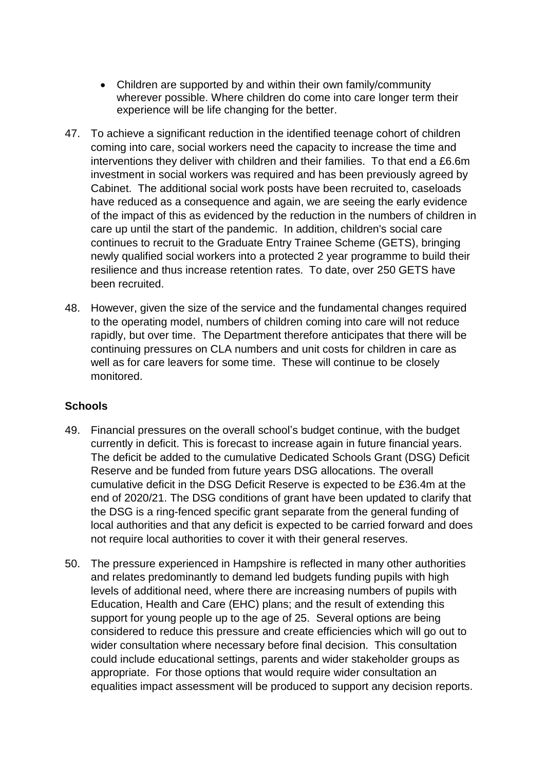- Children are supported by and within their own family/community wherever possible. Where children do come into care longer term their experience will be life changing for the better.
- 47. To achieve a significant reduction in the identified teenage cohort of children coming into care, social workers need the capacity to increase the time and interventions they deliver with children and their families. To that end a £6.6m investment in social workers was required and has been previously agreed by Cabinet. The additional social work posts have been recruited to, caseloads have reduced as a consequence and again, we are seeing the early evidence of the impact of this as evidenced by the reduction in the numbers of children in care up until the start of the pandemic. In addition, children's social care continues to recruit to the Graduate Entry Trainee Scheme (GETS), bringing newly qualified social workers into a protected 2 year programme to build their resilience and thus increase retention rates. To date, over 250 GETS have been recruited.
- 48. However, given the size of the service and the fundamental changes required to the operating model, numbers of children coming into care will not reduce rapidly, but over time. The Department therefore anticipates that there will be continuing pressures on CLA numbers and unit costs for children in care as well as for care leavers for some time. These will continue to be closely monitored.

# **Schools**

- 49. Financial pressures on the overall school's budget continue, with the budget currently in deficit. This is forecast to increase again in future financial years. The deficit be added to the cumulative Dedicated Schools Grant (DSG) Deficit Reserve and be funded from future years DSG allocations. The overall cumulative deficit in the DSG Deficit Reserve is expected to be £36.4m at the end of 2020/21. The DSG conditions of grant have been updated to clarify that the DSG is a ring-fenced specific grant separate from the general funding of local authorities and that any deficit is expected to be carried forward and does not require local authorities to cover it with their general reserves.
- 50. The pressure experienced in Hampshire is reflected in many other authorities and relates predominantly to demand led budgets funding pupils with high levels of additional need, where there are increasing numbers of pupils with Education, Health and Care (EHC) plans; and the result of extending this support for young people up to the age of 25. Several options are being considered to reduce this pressure and create efficiencies which will go out to wider consultation where necessary before final decision. This consultation could include educational settings, parents and wider stakeholder groups as appropriate. For those options that would require wider consultation an equalities impact assessment will be produced to support any decision reports.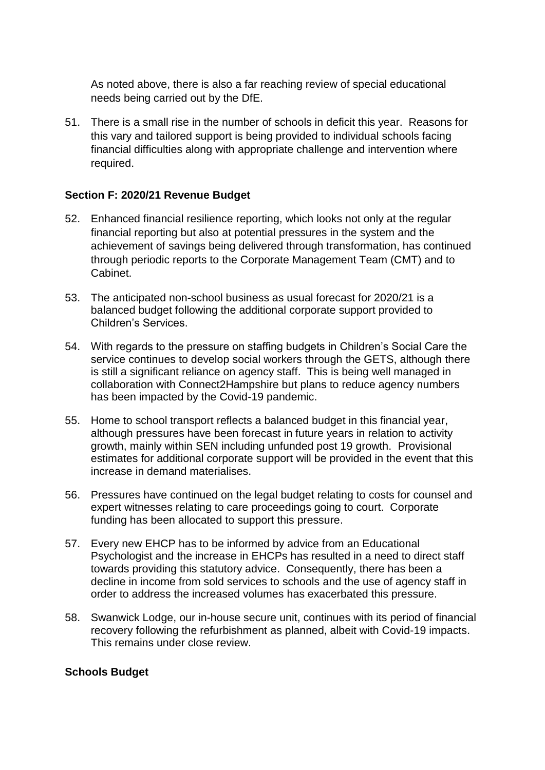As noted above, there is also a far reaching review of special educational needs being carried out by the DfE.

51. There is a small rise in the number of schools in deficit this year. Reasons for this vary and tailored support is being provided to individual schools facing financial difficulties along with appropriate challenge and intervention where required.

## **Section F: 2020/21 Revenue Budget**

- 52. Enhanced financial resilience reporting, which looks not only at the regular financial reporting but also at potential pressures in the system and the achievement of savings being delivered through transformation, has continued through periodic reports to the Corporate Management Team (CMT) and to Cabinet.
- 53. The anticipated non-school business as usual forecast for 2020/21 is a balanced budget following the additional corporate support provided to Children's Services.
- 54. With regards to the pressure on staffing budgets in Children's Social Care the service continues to develop social workers through the GETS, although there is still a significant reliance on agency staff. This is being well managed in collaboration with Connect2Hampshire but plans to reduce agency numbers has been impacted by the Covid-19 pandemic.
- 55. Home to school transport reflects a balanced budget in this financial year, although pressures have been forecast in future years in relation to activity growth, mainly within SEN including unfunded post 19 growth. Provisional estimates for additional corporate support will be provided in the event that this increase in demand materialises.
- 56. Pressures have continued on the legal budget relating to costs for counsel and expert witnesses relating to care proceedings going to court. Corporate funding has been allocated to support this pressure.
- 57. Every new EHCP has to be informed by advice from an Educational Psychologist and the increase in EHCPs has resulted in a need to direct staff towards providing this statutory advice. Consequently, there has been a decline in income from sold services to schools and the use of agency staff in order to address the increased volumes has exacerbated this pressure.
- 58. Swanwick Lodge, our in-house secure unit, continues with its period of financial recovery following the refurbishment as planned, albeit with Covid-19 impacts. This remains under close review.

## **Schools Budget**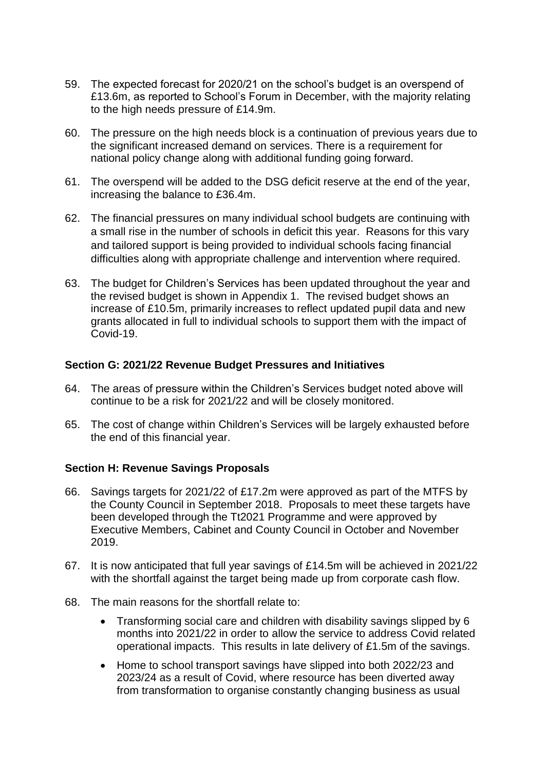- 59. The expected forecast for 2020/21 on the school's budget is an overspend of £13.6m, as reported to School's Forum in December, with the majority relating to the high needs pressure of £14.9m.
- 60. The pressure on the high needs block is a continuation of previous years due to the significant increased demand on services. There is a requirement for national policy change along with additional funding going forward.
- 61. The overspend will be added to the DSG deficit reserve at the end of the year, increasing the balance to £36.4m.
- 62. The financial pressures on many individual school budgets are continuing with a small rise in the number of schools in deficit this year. Reasons for this vary and tailored support is being provided to individual schools facing financial difficulties along with appropriate challenge and intervention where required.
- 63. The budget for Children's Services has been updated throughout the year and the revised budget is shown in Appendix 1. The revised budget shows an increase of £10.5m, primarily increases to reflect updated pupil data and new grants allocated in full to individual schools to support them with the impact of Covid-19.

## **Section G: 2021/22 Revenue Budget Pressures and Initiatives**

- 64. The areas of pressure within the Children's Services budget noted above will continue to be a risk for 2021/22 and will be closely monitored.
- 65. The cost of change within Children's Services will be largely exhausted before the end of this financial year.

#### **Section H: Revenue Savings Proposals**

- 66. Savings targets for 2021/22 of £17.2m were approved as part of the MTFS by the County Council in September 2018. Proposals to meet these targets have been developed through the Tt2021 Programme and were approved by Executive Members, Cabinet and County Council in October and November 2019.
- 67. It is now anticipated that full year savings of £14.5m will be achieved in 2021/22 with the shortfall against the target being made up from corporate cash flow.
- 68. The main reasons for the shortfall relate to:
	- Transforming social care and children with disability savings slipped by 6 months into 2021/22 in order to allow the service to address Covid related operational impacts. This results in late delivery of £1.5m of the savings.
	- Home to school transport savings have slipped into both 2022/23 and 2023/24 as a result of Covid, where resource has been diverted away from transformation to organise constantly changing business as usual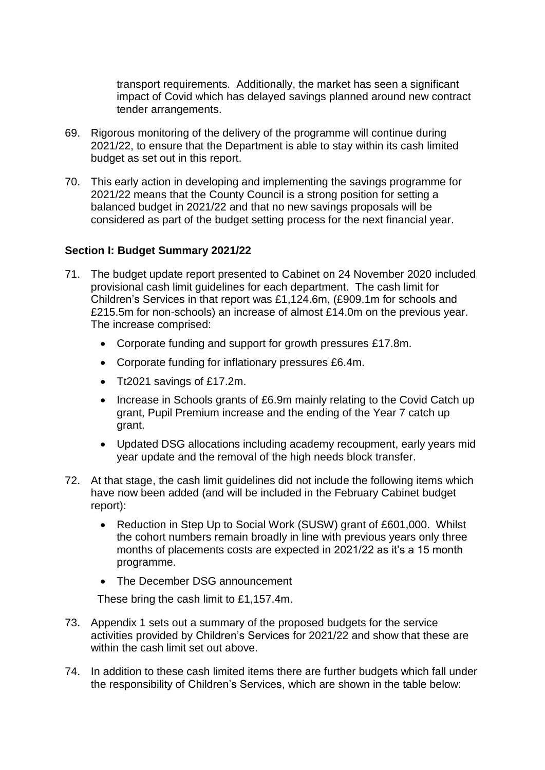transport requirements. Additionally, the market has seen a significant impact of Covid which has delayed savings planned around new contract tender arrangements.

- 69. Rigorous monitoring of the delivery of the programme will continue during 2021/22, to ensure that the Department is able to stay within its cash limited budget as set out in this report.
- 70. This early action in developing and implementing the savings programme for 2021/22 means that the County Council is a strong position for setting a balanced budget in 2021/22 and that no new savings proposals will be considered as part of the budget setting process for the next financial year.

# **Section I: Budget Summary 2021/22**

- 71. The budget update report presented to Cabinet on 24 November 2020 included provisional cash limit guidelines for each department. The cash limit for Children's Services in that report was £1,124.6m, (£909.1m for schools and £215.5m for non-schools) an increase of almost £14.0m on the previous year. The increase comprised:
	- Corporate funding and support for growth pressures £17.8m.
	- Corporate funding for inflationary pressures £6.4m.
	- Tt2021 savings of £17.2m.
	- Increase in Schools grants of £6.9m mainly relating to the Covid Catch up grant, Pupil Premium increase and the ending of the Year 7 catch up grant.
	- Updated DSG allocations including academy recoupment, early years mid year update and the removal of the high needs block transfer.
- 72. At that stage, the cash limit guidelines did not include the following items which have now been added (and will be included in the February Cabinet budget report):
	- Reduction in Step Up to Social Work (SUSW) grant of £601,000. Whilst the cohort numbers remain broadly in line with previous years only three months of placements costs are expected in 2021/22 as it's a 15 month programme.
	- The December DSG announcement

These bring the cash limit to £1,157.4m.

- 73. Appendix 1 sets out a summary of the proposed budgets for the service activities provided by Children's Services for 2021/22 and show that these are within the cash limit set out above.
- 74. In addition to these cash limited items there are further budgets which fall under the responsibility of Children's Services, which are shown in the table below: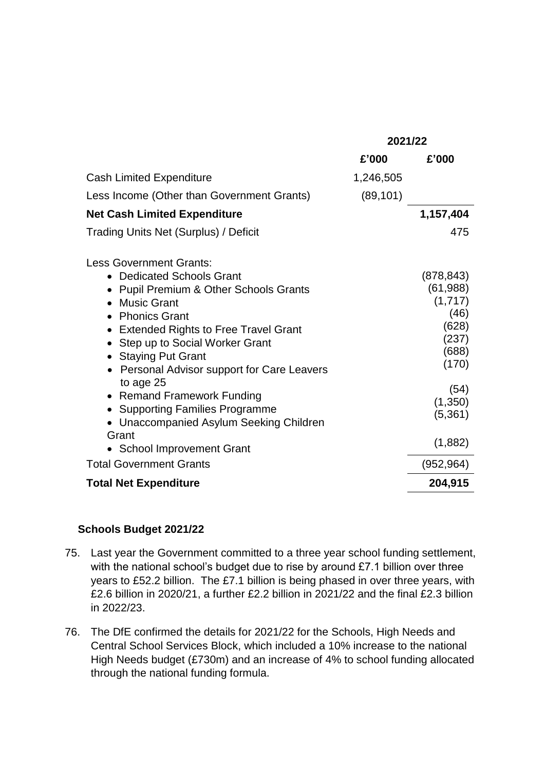|                                                                                                                                                                                                                                                                                                                                                                                                                                                       | 2021/22                                                                                                                   |  |
|-------------------------------------------------------------------------------------------------------------------------------------------------------------------------------------------------------------------------------------------------------------------------------------------------------------------------------------------------------------------------------------------------------------------------------------------------------|---------------------------------------------------------------------------------------------------------------------------|--|
| £'000                                                                                                                                                                                                                                                                                                                                                                                                                                                 | £'000                                                                                                                     |  |
| <b>Cash Limited Expenditure</b><br>1,246,505                                                                                                                                                                                                                                                                                                                                                                                                          |                                                                                                                           |  |
| (89, 101)<br>Less Income (Other than Government Grants)                                                                                                                                                                                                                                                                                                                                                                                               |                                                                                                                           |  |
| <b>Net Cash Limited Expenditure</b>                                                                                                                                                                                                                                                                                                                                                                                                                   | 1,157,404                                                                                                                 |  |
| <b>Trading Units Net (Surplus) / Deficit</b>                                                                                                                                                                                                                                                                                                                                                                                                          | 475                                                                                                                       |  |
| <b>Less Government Grants:</b><br>• Dedicated Schools Grant<br><b>Pupil Premium &amp; Other Schools Grants</b><br><b>Music Grant</b><br><b>Phonics Grant</b><br>• Extended Rights to Free Travel Grant<br>• Step up to Social Worker Grant<br><b>Staying Put Grant</b><br>Personal Advisor support for Care Leavers<br>to age 25<br>• Remand Framework Funding<br>• Supporting Families Programme<br>• Unaccompanied Asylum Seeking Children<br>Grant | (878, 843)<br>(61, 988)<br>(1,717)<br>(46)<br>(628)<br>(237)<br>(688)<br>(170)<br>(54)<br>(1, 350)<br>(5, 361)<br>(1,882) |  |
| <b>School Improvement Grant</b><br><b>Total Government Grants</b>                                                                                                                                                                                                                                                                                                                                                                                     | (952, 964)                                                                                                                |  |
| <b>Total Net Expenditure</b>                                                                                                                                                                                                                                                                                                                                                                                                                          | 204,915                                                                                                                   |  |

# **Schools Budget 2021/22**

- 75. Last year the Government committed to a three year school funding settlement, with the national school's budget due to rise by around £7.1 billion over three years to £52.2 billion. The £7.1 billion is being phased in over three years, with £2.6 billion in 2020/21, a further £2.2 billion in 2021/22 and the final £2.3 billion in 2022/23.
- 76. The DfE confirmed the details for 2021/22 for the Schools, High Needs and Central School Services Block, which included a 10% increase to the national High Needs budget (£730m) and an increase of 4% to school funding allocated through the national funding formula.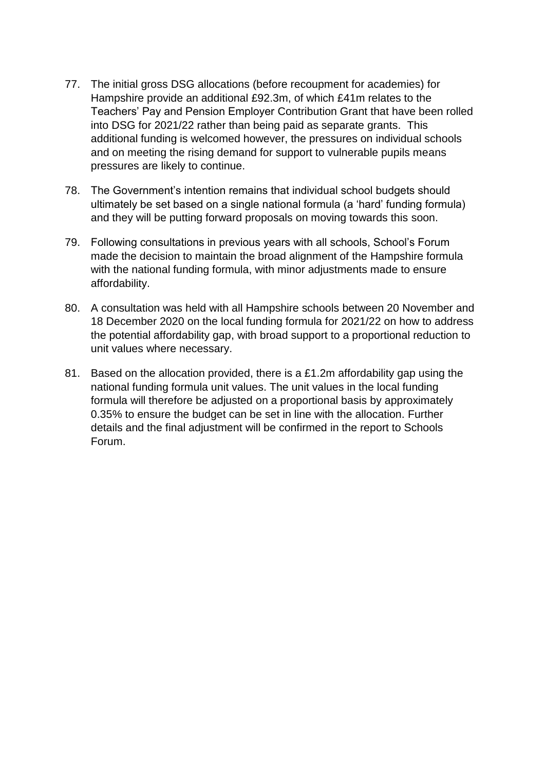- 77. The initial gross DSG allocations (before recoupment for academies) for Hampshire provide an additional £92.3m, of which £41m relates to the Teachers' Pay and Pension Employer Contribution Grant that have been rolled into DSG for 2021/22 rather than being paid as separate grants. This additional funding is welcomed however, the pressures on individual schools and on meeting the rising demand for support to vulnerable pupils means pressures are likely to continue.
- 78. The Government's intention remains that individual school budgets should ultimately be set based on a single national formula (a 'hard' funding formula) and they will be putting forward proposals on moving towards this soon.
- 79. Following consultations in previous years with all schools, School's Forum made the decision to maintain the broad alignment of the Hampshire formula with the national funding formula, with minor adjustments made to ensure affordability.
- 80. A consultation was held with all Hampshire schools between 20 November and 18 December 2020 on the local funding formula for 2021/22 on how to address the potential affordability gap, with broad support to a proportional reduction to unit values where necessary.
- 81. Based on the allocation provided, there is a £1.2m affordability gap using the national funding formula unit values. The unit values in the local funding formula will therefore be adjusted on a proportional basis by approximately 0.35% to ensure the budget can be set in line with the allocation. Further details and the final adjustment will be confirmed in the report to Schools Forum.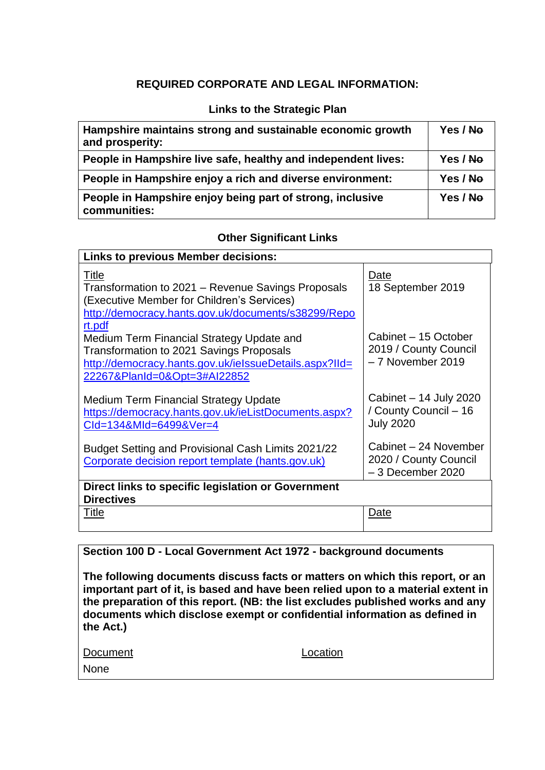# **REQUIRED CORPORATE AND LEGAL INFORMATION:**

# **Links to the Strategic Plan**

| Hampshire maintains strong and sustainable economic growth<br>and prosperity: | Yes / No |
|-------------------------------------------------------------------------------|----------|
| People in Hampshire live safe, healthy and independent lives:                 | Yes / No |
| People in Hampshire enjoy a rich and diverse environment:                     | Yes / No |
| People in Hampshire enjoy being part of strong, inclusive<br>communities:     | Yes / No |

## **Other Significant Links**

| <b>Links to previous Member decisions:</b>                                                                                                                                        |                                                                      |  |  |  |
|-----------------------------------------------------------------------------------------------------------------------------------------------------------------------------------|----------------------------------------------------------------------|--|--|--|
| <b>Title</b><br>Transformation to 2021 – Revenue Savings Proposals<br>(Executive Member for Children's Services)<br>http://democracy.hants.gov.uk/documents/s38299/Repo<br>rt.pdf | Date<br>18 September 2019                                            |  |  |  |
| Medium Term Financial Strategy Update and<br>Transformation to 2021 Savings Proposals<br>http://democracy.hants.gov.uk/ielssueDetails.aspx?IId=<br>22267&PlanId=0&Opt=3#AI22852   | Cabinet - 15 October<br>2019 / County Council<br>- 7 November 2019   |  |  |  |
| <b>Medium Term Financial Strategy Update</b><br>https://democracy.hants.gov.uk/ieListDocuments.aspx?<br>Cld=134&Mld=6499&Ver=4                                                    | Cabinet - 14 July 2020<br>/ County Council - 16<br><b>July 2020</b>  |  |  |  |
| Budget Setting and Provisional Cash Limits 2021/22<br>Corporate decision report template (hants.gov.uk)                                                                           | Cabinet - 24 November<br>2020 / County Council<br>$-3$ December 2020 |  |  |  |
| Direct links to specific legislation or Government<br><b>Directives</b>                                                                                                           |                                                                      |  |  |  |
| Title                                                                                                                                                                             | Date                                                                 |  |  |  |

# **Section 100 D - Local Government Act 1972 - background documents**

**The following documents discuss facts or matters on which this report, or an important part of it, is based and have been relied upon to a material extent in the preparation of this report. (NB: the list excludes published works and any documents which disclose exempt or confidential information as defined in the Act.)**

| Document | Location |
|----------|----------|
| None     |          |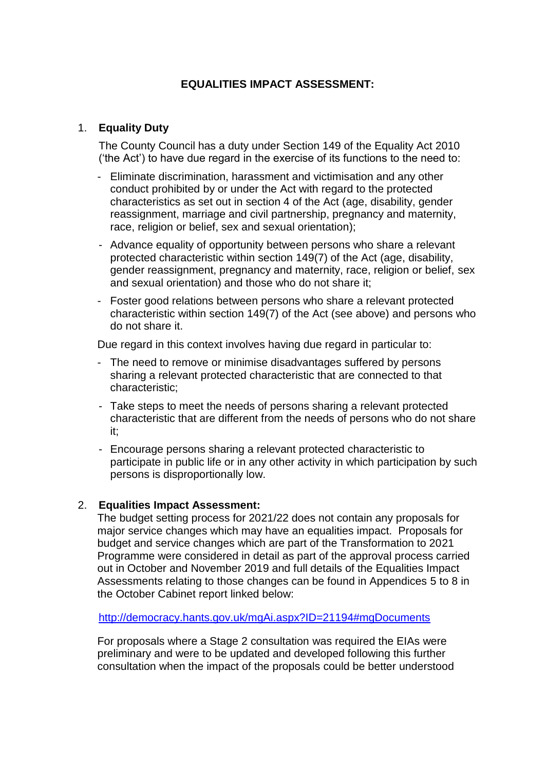# **EQUALITIES IMPACT ASSESSMENT:**

# 1. **Equality Duty**

The County Council has a duty under Section 149 of the Equality Act 2010 ('the Act') to have due regard in the exercise of its functions to the need to:

- Eliminate discrimination, harassment and victimisation and any other conduct prohibited by or under the Act with regard to the protected characteristics as set out in section 4 of the Act (age, disability, gender reassignment, marriage and civil partnership, pregnancy and maternity, race, religion or belief, sex and sexual orientation);
- Advance equality of opportunity between persons who share a relevant protected characteristic within section 149(7) of the Act (age, disability, gender reassignment, pregnancy and maternity, race, religion or belief, sex and sexual orientation) and those who do not share it;
- Foster good relations between persons who share a relevant protected characteristic within section 149(7) of the Act (see above) and persons who do not share it.

Due regard in this context involves having due regard in particular to:

- The need to remove or minimise disadvantages suffered by persons sharing a relevant protected characteristic that are connected to that characteristic;
- Take steps to meet the needs of persons sharing a relevant protected characteristic that are different from the needs of persons who do not share it;
- Encourage persons sharing a relevant protected characteristic to participate in public life or in any other activity in which participation by such persons is disproportionally low.

## 2. **Equalities Impact Assessment:**

The budget setting process for 2021/22 does not contain any proposals for major service changes which may have an equalities impact. Proposals for budget and service changes which are part of the Transformation to 2021 Programme were considered in detail as part of the approval process carried out in October and November 2019 and full details of the Equalities Impact Assessments relating to those changes can be found in Appendices 5 to 8 in the October Cabinet report linked below:

<http://democracy.hants.gov.uk/mgAi.aspx?ID=21194#mgDocuments>

For proposals where a Stage 2 consultation was required the EIAs were preliminary and were to be updated and developed following this further consultation when the impact of the proposals could be better understood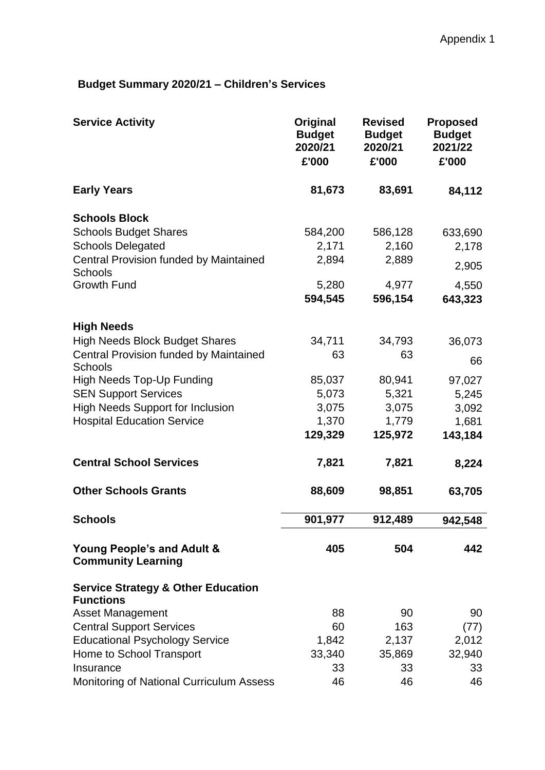# **Budget Summary 2020/21 – Children's Services**

| <b>Service Activity</b>                                           | Original<br><b>Budget</b><br>2020/21<br>£'000 | <b>Revised</b><br><b>Budget</b><br>2020/21<br>£'000 | <b>Proposed</b><br><b>Budget</b><br>2021/22<br>£'000 |
|-------------------------------------------------------------------|-----------------------------------------------|-----------------------------------------------------|------------------------------------------------------|
| <b>Early Years</b>                                                | 81,673                                        | 83,691                                              | 84,112                                               |
| <b>Schools Block</b>                                              |                                               |                                                     |                                                      |
| <b>Schools Budget Shares</b>                                      | 584,200                                       | 586,128                                             | 633,690                                              |
| <b>Schools Delegated</b>                                          | 2,171                                         | 2,160                                               | 2,178                                                |
| Central Provision funded by Maintained<br>Schools                 | 2,894                                         | 2,889                                               | 2,905                                                |
| <b>Growth Fund</b>                                                | 5,280                                         | 4,977                                               | 4,550                                                |
|                                                                   | 594,545                                       | 596,154                                             | 643,323                                              |
|                                                                   |                                               |                                                     |                                                      |
| <b>High Needs</b><br><b>High Needs Block Budget Shares</b>        | 34,711                                        | 34,793                                              | 36,073                                               |
| <b>Central Provision funded by Maintained</b>                     | 63                                            | 63                                                  |                                                      |
| Schools                                                           |                                               |                                                     | 66                                                   |
| <b>High Needs Top-Up Funding</b>                                  | 85,037                                        | 80,941                                              | 97,027                                               |
| <b>SEN Support Services</b>                                       | 5,073                                         | 5,321                                               | 5,245                                                |
| <b>High Needs Support for Inclusion</b>                           | 3,075                                         | 3,075                                               | 3,092                                                |
| <b>Hospital Education Service</b>                                 | 1,370                                         | 1,779                                               | 1,681                                                |
|                                                                   | 129,329                                       | 125,972                                             | 143,184                                              |
| <b>Central School Services</b>                                    | 7,821                                         | 7,821                                               | 8,224                                                |
| <b>Other Schools Grants</b>                                       | 88,609                                        | 98,851                                              | 63,705                                               |
| <b>Schools</b>                                                    | 901,977                                       | 912,489                                             | 942,548                                              |
| Young People's and Adult &<br><b>Community Learning</b>           | 405                                           | 504                                                 | 442                                                  |
| <b>Service Strategy &amp; Other Education</b><br><b>Functions</b> |                                               |                                                     |                                                      |
| <b>Asset Management</b>                                           | 88                                            | 90                                                  | 90                                                   |
| <b>Central Support Services</b>                                   | 60                                            | 163                                                 | (77)                                                 |
| <b>Educational Psychology Service</b>                             | 1,842                                         | 2,137                                               | 2,012                                                |
| Home to School Transport                                          | 33,340                                        | 35,869                                              | 32,940                                               |
| Insurance                                                         | 33                                            | 33                                                  | 33                                                   |
| Monitoring of National Curriculum Assess                          | 46                                            | 46                                                  | 46                                                   |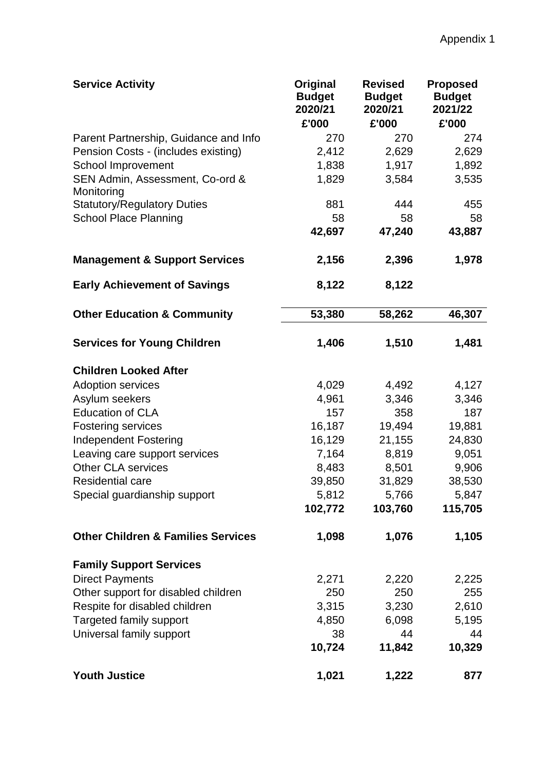| <b>Service Activity</b>                       | Original<br><b>Budget</b><br>2020/21<br>£'000 | <b>Revised</b><br><b>Budget</b><br>2020/21<br>£'000 | <b>Proposed</b><br><b>Budget</b><br>2021/22<br>£'000 |
|-----------------------------------------------|-----------------------------------------------|-----------------------------------------------------|------------------------------------------------------|
| Parent Partnership, Guidance and Info         | 270                                           | 270                                                 | 274                                                  |
| Pension Costs - (includes existing)           | 2,412                                         | 2,629                                               | 2,629                                                |
| School Improvement                            | 1,838                                         | 1,917                                               | 1,892                                                |
| SEN Admin, Assessment, Co-ord &<br>Monitoring | 1,829                                         | 3,584                                               | 3,535                                                |
| <b>Statutory/Regulatory Duties</b>            | 881                                           | 444                                                 | 455                                                  |
| <b>School Place Planning</b>                  | 58                                            | 58                                                  | 58                                                   |
|                                               | 42,697                                        | 47,240                                              | 43,887                                               |
| <b>Management &amp; Support Services</b>      | 2,156                                         | 2,396                                               | 1,978                                                |
| <b>Early Achievement of Savings</b>           | 8,122                                         | 8,122                                               |                                                      |
| <b>Other Education &amp; Community</b>        | 53,380                                        | 58,262                                              | 46,307                                               |
| <b>Services for Young Children</b>            | 1,406                                         | 1,510                                               | 1,481                                                |
| <b>Children Looked After</b>                  |                                               |                                                     |                                                      |
| <b>Adoption services</b>                      | 4,029                                         | 4,492                                               | 4,127                                                |
| Asylum seekers                                | 4,961                                         | 3,346                                               | 3,346                                                |
| <b>Education of CLA</b>                       | 157                                           | 358                                                 | 187                                                  |
| <b>Fostering services</b>                     | 16,187                                        | 19,494                                              | 19,881                                               |
| <b>Independent Fostering</b>                  | 16,129                                        | 21,155                                              | 24,830                                               |
| Leaving care support services                 | 7,164                                         | 8,819                                               | 9,051                                                |
| Other CLA services                            | 8,483                                         | 8,501                                               | 9,906                                                |
| Residential care                              | 39,850                                        | 31,829                                              | 38,530                                               |
| Special guardianship support                  | 5,812                                         | 5,766                                               | 5,847                                                |
|                                               | 102,772                                       | 103,760                                             | 115,705                                              |
| <b>Other Children &amp; Families Services</b> | 1,098                                         | 1,076                                               | 1,105                                                |
| <b>Family Support Services</b>                |                                               |                                                     |                                                      |
| <b>Direct Payments</b>                        | 2,271                                         | 2,220                                               | 2,225                                                |
| Other support for disabled children           | 250                                           | 250                                                 | 255                                                  |
| Respite for disabled children                 | 3,315                                         | 3,230                                               | 2,610                                                |
| Targeted family support                       | 4,850                                         | 6,098                                               | 5,195                                                |
| Universal family support                      | 38                                            | 44                                                  | 44                                                   |
|                                               | 10,724                                        | 11,842                                              | 10,329                                               |
| <b>Youth Justice</b>                          | 1,021                                         | 1,222                                               | 877                                                  |